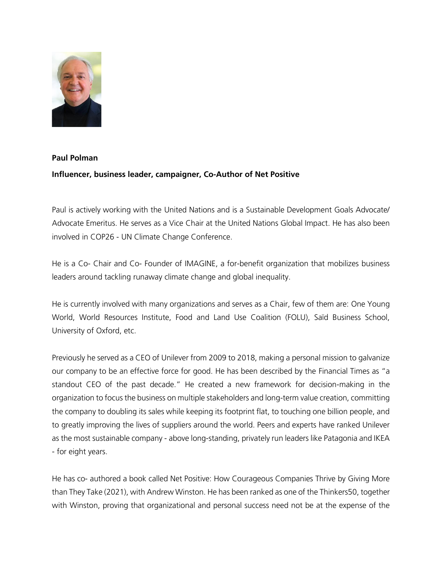

## **Paul Polman Influencer, business leader, campaigner, Co-Author of Net Positive**

Paul is actively working with the United Nations and is a Sustainable Development Goals Advocate/ Advocate Emeritus. He serves as a Vice Chair at the United Nations Global Impact. He has also been involved in COP26 - UN Climate Change Conference.

He is a Co- Chair and Co- Founder of IMAGINE, a for-benefit organization that mobilizes business leaders around tackling runaway climate change and global inequality.

He is currently involved with many organizations and serves as a Chair, few of them are: One Young World, World Resources Institute, Food and Land Use Coalition (FOLU), Saïd Business School, University of Oxford, etc.

Previously he served as a CEO of Unilever from 2009 to 2018, making a personal mission to galvanize our company to be an effective force for good. He has been described by the Financial Times as "a standout CEO of the past decade." He created a new framework for decision-making in the organization to focus the business on multiple stakeholders and long-term value creation, committing the company to doubling its sales while keeping its footprint flat, to touching one billion people, and to greatly improving the lives of suppliers around the world. Peers and experts have ranked Unilever as the most sustainable company - above long-standing, privately run leaders like Patagonia and IKEA - for eight years.

He has co- authored a book called Net Positive: How Courageous Companies Thrive by Giving More than They Take (2021), with Andrew Winston. He has been ranked as one of the Thinkers50, together with Winston, proving that organizational and personal success need not be at the expense of the